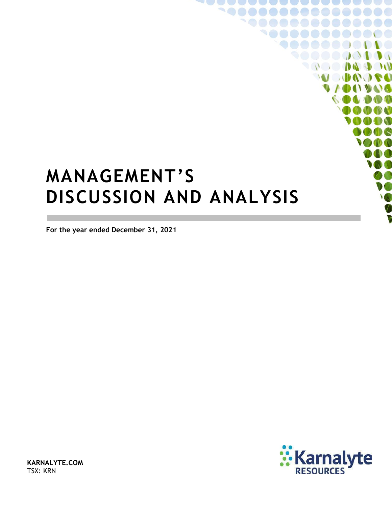# **MANAGEMENT'S DISCUSSION AND ANALYSIS**

**For the year ended December 31, 2021**



**IN AN** DAT

**KARNALYTE.COM** TSX: KRN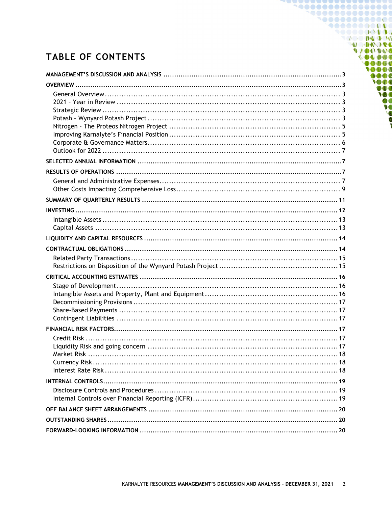# **TABLE OF CONTENTS**

1000000000000 **900000000000** 9000000000 **DO DO DO POO MODUOL** 

00000 10000  $0000$ TOOO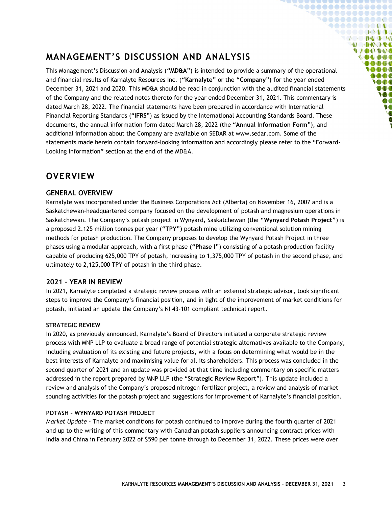# <span id="page-2-0"></span>**MANAGEMENT'S DISCUSSION AND ANALYSIS**

This Management's Discussion and Analysis (**"MD&A")** is intended to provide a summary of the operational and financial results of Karnalyte Resources Inc. (**"Karnalyte"** or the **"Company")** for the year ended December 31, 2021 and 2020. This MD&A should be read in conjunction with the audited financial statements of the Company and the related notes thereto for the year ended December 31, 2021. This commentary is dated March 28, 2022. The financial statements have been prepared in accordance with International Financial Reporting Standards ("**IFRS**") as issued by the International Accounting Standards Board. These documents, the annual information form dated March 28, 2022 (the "**Annual Information Form**"), and additional information about the Company are available on SEDAR at www.sedar.com. Some of the statements made herein contain forward-looking information and accordingly please refer to the "Forward-Looking Information" section at the end of the MD&A.

**`@@@@@@@@@@@@@@**  ${\small \begin{array}{c} \bullet\bullet\bullet\bullet\bullet\bullet\bullet\bullet\bullet\bullet\bullet\bullet\bullet\bullet\bullet\bullet\end{array}}$ 1000000000000 **90000000000** ◥◓◓◓◓◓◶◔▮◑◑ **DO DAD DO MODUOLI VAOOVOO**  $\bullet \bullet \bullet \bullet \bullet \bullet$  $0000$ 0000  $\bullet$   $\bullet$   $\bullet$ **SOO** DOO W ØO  $\bullet$ 

### <span id="page-2-1"></span>**OVERVIEW**

#### <span id="page-2-2"></span>**GENERAL OVERVIEW**

Karnalyte was incorporated under the Business Corporations Act (Alberta) on November 16, 2007 and is a Saskatchewan-headquartered company focused on the development of potash and magnesium operations in Saskatchewan. The Company's potash project in Wynyard, Saskatchewan (the **"Wynyard Potash Project"**) is a proposed 2.125 million tonnes per year (**"TPY")** potash mine utilizing conventional solution mining methods for potash production. The Company proposes to develop the Wynyard Potash Project in three phases using a modular approach, with a first phase **("Phase I"**) consisting of a potash production facility capable of producing 625,000 TPY of potash, increasing to 1,375,000 TPY of potash in the second phase, and ultimately to 2,125,000 TPY of potash in the third phase.

#### <span id="page-2-3"></span>**2021 – YEAR IN REVIEW**

In 2021, Karnalyte completed a strategic review process with an external strategic advisor, took significant steps to improve the Company's financial position, and in light of the improvement of market conditions for potash, initiated an update the Company's NI 43-101 compliant technical report.

#### <span id="page-2-4"></span>**STRATEGIC REVIEW**

In 2020, as previously announced, Karnalyte's Board of Directors initiated a corporate strategic review process with MNP LLP to evaluate a broad range of potential strategic alternatives available to the Company, including evaluation of its existing and future projects, with a focus on determining what would be in the best interests of Karnalyte and maximising value for all its shareholders. This process was concluded in the second quarter of 2021 and an update was provided at that time including commentary on specific matters addressed in the report prepared by MNP LLP (the "**Strategic Review Report**"). This update included a review and analysis of the Company's proposed nitrogen fertilizer project, a review and analysis of market sounding activities for the potash project and suggestions for improvement of Karnalyte's financial position.

#### <span id="page-2-5"></span>**POTASH – WYNYARD POTASH PROJECT**

*Market Update –* The market conditions for potash continued to improve during the fourth quarter of 2021 and up to the writing of this commentary with Canadian potash suppliers announcing contract prices with India and China in February 2022 of \$590 per tonne through to December 31, 2022. These prices were over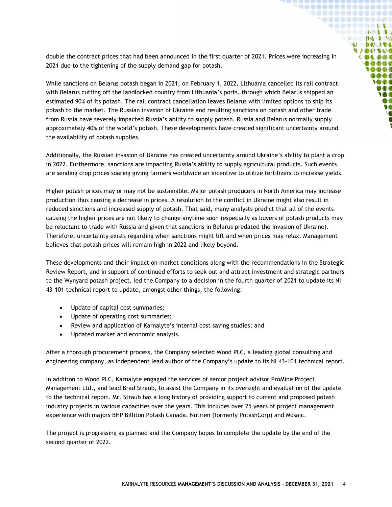double the contract prices that had been announced in the first quarter of 2021. Prices were increasing in 2021 due to the tightening of the supply demand gap for potash.

**`@@@@@@@@@@@@@@**  ${\small \begin{array}{c} \bullet\bullet\bullet\bullet\bullet\bullet\bullet\bullet\bullet\bullet\bullet\bullet\bullet\bullet\bullet\bullet\end{array}}$ **`@@@@@@@@@@@ 900000000000** ◥◓◓◓◓◓◶◔▮◑◑ **DO DA DO DO MODAGE UACIDAD** OLDOC  $\begin{array}{c} \bullet\bullet\bullet\bullet\end{array}$ 0000  $000$ **OD** DOO W DO  $\bullet$ 

While sanctions on Belarus potash began in 2021, on February 1, 2022, Lithuania cancelled its rail contract with Belarus cutting off the landlocked country from Lithuania's ports, through which Belarus shipped an estimated 90% of its potash. The rail contract cancellation leaves Belarus with limited options to ship its potash to the market. The Russian invasion of Ukraine and resulting sanctions on potash and other trade from Russia have severely impacted Russia's ability to supply potash. Russia and Belarus normally supply approximately 40% of the world's potash. These developments have created significant uncertainty around the availability of potash supplies.

Additionally, the Russian invasion of Ukraine has created uncertainty around Ukraine's ability to plant a crop in 2022. Furthermore, sanctions are impacting Russia's ability to supply agricultural products. Such events are sending crop prices soaring giving farmers worldwide an incentive to utilize fertilizers to increase yields.

Higher potash prices may or may not be sustainable. Major potash producers in North America may increase production thus causing a decrease in prices. A resolution to the conflict in Ukraine might also result in reduced sanctions and increased supply of potash. That said, many analysts predict that all of the events causing the higher prices are not likely to change anytime soon (especially as buyers of potash products may be reluctant to trade with Russia and given that sanctions in Belarus predated the invasion of Ukraine). Therefore, uncertainty exists regarding when sanctions might lift and when prices may relax. Management believes that potash prices will remain high in 2022 and likely beyond.

These developments and their impact on market conditions along with the recommendations in the Strategic Review Report, and in support of continued efforts to seek out and attract investment and strategic partners to the Wynyard potash project, led the Company to a decision in the fourth quarter of 2021 to update its NI 43-101 technical report to update, amongst other things, the following:

- Update of capital cost summaries;
- Update of operating cost summaries;
- Review and application of Karnalyte's internal cost saving studies; and
- Updated market and economic analysis.

After a thorough procurement process, the Company selected Wood PLC, a leading global consulting and engineering company, as independent lead author of the Company's update to its NI 43-101 technical report.

In addition to Wood PLC, Karnalyte engaged the services of senior project advisor ProMine Project Management Ltd., and lead Brad Straub, to assist the Company in its oversight and evaluation of the update to the technical report. Mr. Straub has a long history of providing support to current and proposed potash industry projects in various capacities over the years. This includes over 25 years of project management experience with majors BHP Billiton Potash Canada, Nutrien (formerly PotashCorp) and Mosaic.

The project is progressing as planned and the Company hopes to complete the update by the end of the second quarter of 2022.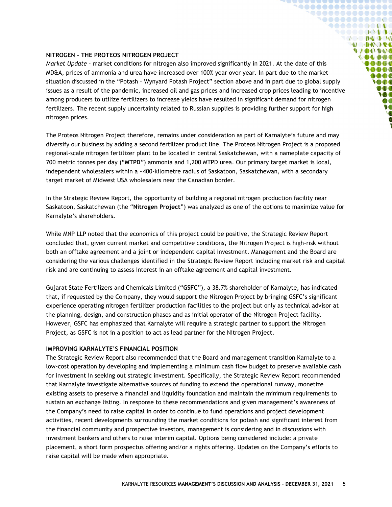#### <span id="page-4-0"></span>**NITROGEN – THE PROTEOS NITROGEN PROJECT**

*Market Update –* market conditions for nitrogen also improved significantly in 2021. At the date of this MD&A, prices of ammonia and urea have increased over 100% year over year. In part due to the market situation discussed in the "Potash – [Wynyard Potash Project](#page-2-5)" section above and in part due to global supply issues as a result of the pandemic, increased oil and gas prices and increased crop prices leading to incentive among producers to utilize fertilizers to increase yields have resulted in significant demand for nitrogen fertilizers. The recent supply uncertainty related to Russian supplies is providing further support for high nitrogen prices.

**`@@@@@@@@@@@@@@@**  ${\small \begin{array}{c} \bullet\bullet\bullet\bullet\bullet\bullet\bullet\bullet\bullet\bullet\bullet\bullet\bullet\bullet\bullet\bullet\end{array}}$ 1000000000000 **900000000000** SOOOOQODOG **OCO DA DO MODAGE VIONVOS** 000000 000**0 IAAA**  $0000$ **SOOT** DOO **IO** DO  $\overline{\ }$ 

The Proteos Nitrogen Project therefore, remains under consideration as part of Karnalyte's future and may diversify our business by adding a second fertilizer product line. The Proteos Nitrogen Project is a proposed regional-scale nitrogen fertilizer plant to be located in central Saskatchewan, with a nameplate capacity of 700 metric tonnes per day ("**MTPD**") ammonia and 1,200 MTPD urea. Our primary target market is local, independent wholesalers within a ~400-kilometre radius of Saskatoon, Saskatchewan, with a secondary target market of Midwest USA wholesalers near the Canadian border.

In the Strategic Review Report, the opportunity of building a regional nitrogen production facility near Saskatoon, Saskatchewan (the "**Nitrogen Project**") was analyzed as one of the options to maximize value for Karnalyte's shareholders.

While MNP LLP noted that the economics of this project could be positive, the Strategic Review Report concluded that, given current market and competitive conditions, the Nitrogen Project is high-risk without both an offtake agreement and a joint or independent capital investment. Management and the Board are considering the various challenges identified in the Strategic Review Report including market risk and capital risk and are continuing to assess interest in an offtake agreement and capital investment.

Gujarat State Fertilizers and Chemicals Limited ("**GSFC**"), a 38.7% shareholder of Karnalyte, has indicated that, if requested by the Company, they would support the Nitrogen Project by bringing GSFC's significant experience operating nitrogen fertilizer production facilities to the project but only as technical advisor at the planning, design, and construction phases and as initial operator of the Nitrogen Project facility. However, GSFC has emphasized that Karnalyte will require a strategic partner to support the Nitrogen Project, as GSFC is not in a position to act as lead partner for the Nitrogen Project.

#### <span id="page-4-1"></span>**IMPROVING KARNALYTE'S FINANCIAL POSITION**

The Strategic Review Report also recommended that the Board and management transition Karnalyte to a low-cost operation by developing and implementing a minimum cash flow budget to preserve available cash for investment in seeking out strategic investment. Specifically, the Strategic Review Report recommended that Karnalyte investigate alternative sources of funding to extend the operational runway, monetize existing assets to preserve a financial and liquidity foundation and maintain the minimum requirements to sustain an exchange listing. In response to these recommendations and given management's awareness of the Company's need to raise capital in order to continue to fund operations and project development activities, recent developments surrounding the market conditions for potash and significant interest from the financial community and prospective investors, management is considering and in discussions with investment bankers and others to raise interim capital. Options being considered include: a private placement, a short form prospectus offering and/or a rights offering. Updates on the Company's efforts to raise capital will be made when appropriate.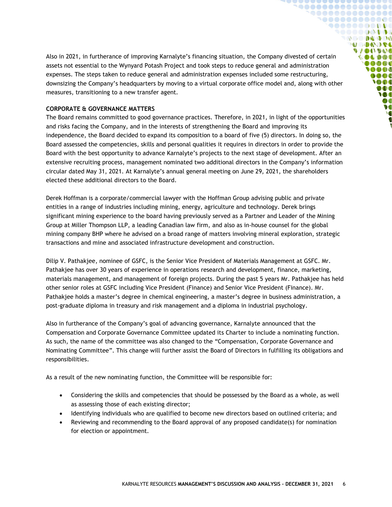Also in 2021, in furtherance of improving Karnalyte's financing situation, the Company divested of certain assets not essential to the Wynyard Potash Project and took steps to reduce general and administration expenses. The steps taken to reduce general and administration expenses included some restructuring, downsizing the Company's headquarters by moving to a virtual corporate office model and, along with other measures, transitioning to a new transfer agent.

**`@@@@@@@@@@@@@@**  ${\small \begin{array}{c} \bullet\bullet\bullet\bullet\bullet\bullet\bullet\bullet\bullet\bullet\bullet\bullet\bullet\bullet\bullet\bullet\end{array}}$ **`@@@@@@@@@@@ 90000000000** ◥◓◓◓◓◓◶◔▮◑◑ **OC DE DO DO U DAOSE UACIDAD COLDOL**  $0000$ **OOO**  $\bullet$   $\bullet$   $\bullet$ **SOO** DOO **M**  $\boldsymbol{v}$ **V** 

#### <span id="page-5-0"></span>**CORPORATE & GOVERNANCE MATTERS**

The Board remains committed to good governance practices. Therefore, in 2021, in light of the opportunities and risks facing the Company, and in the interests of strengthening the Board and improving its independence, the Board decided to expand its composition to a board of five (5) directors. In doing so, the Board assessed the competencies, skills and personal qualities it requires in directors in order to provide the Board with the best opportunity to advance Karnalyte's projects to the next stage of development. After an extensive recruiting process, management nominated two additional directors in the Company's information circular dated May 31, 2021. At Karnalyte's annual general meeting on June 29, 2021, the shareholders elected these additional directors to the Board.

Derek Hoffman is a corporate/commercial lawyer with the Hoffman Group advising public and private entities in a range of industries including mining, energy, agriculture and technology. Derek brings significant mining experience to the board having previously served as a Partner and Leader of the Mining Group at Miller Thompson LLP, a leading Canadian law firm, and also as in-house counsel for the global mining company BHP where he advised on a broad range of matters involving mineral exploration, strategic transactions and mine and associated infrastructure development and construction.

Dilip V. Pathakjee, nominee of GSFC, is the Senior Vice President of Materials Management at GSFC. Mr. Pathakjee has over 30 years of experience in operations research and development, finance, marketing, materials management, and management of foreign projects. During the past 5 years Mr. Pathakjee has held other senior roles at GSFC including Vice President (Finance) and Senior Vice President (Finance). Mr. Pathakjee holds a master's degree in chemical engineering, a master's degree in business administration, a post-graduate diploma in treasury and risk management and a diploma in industrial psychology.

Also in furtherance of the Company's goal of advancing governance, Karnalyte announced that the Compensation and Corporate Governance Committee updated its Charter to include a nominating function. As such, the name of the committee was also changed to the "Compensation, Corporate Governance and Nominating Committee". This change will further assist the Board of Directors in fulfilling its obligations and responsibilities.

As a result of the new nominating function, the Committee will be responsible for:

- Considering the skills and competencies that should be possessed by the Board as a whole, as well as assessing those of each existing director;
- Identifying individuals who are qualified to become new directors based on outlined criteria; and
- Reviewing and recommending to the Board approval of any proposed candidate(s) for nomination for election or appointment.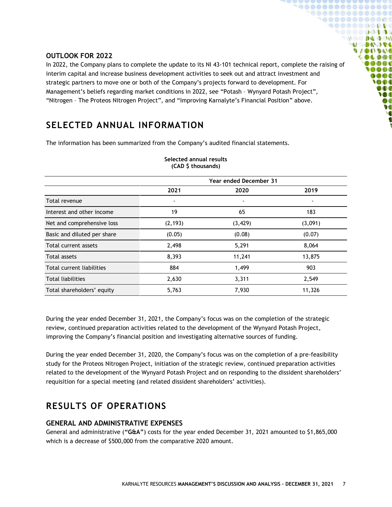#### <span id="page-6-0"></span>**OUTLOOK FOR 2022**

In 2022, the Company plans to complete the update to its NI 43-101 technical report, complete the raising of interim capital and increase business development activities to seek out and attract investment and strategic partners to move one or both of the Company's projects forward to development. For Management's beliefs regarding market conditions in 2022, see "Potash – [Wynyard Potash Project](#page-2-5)", "Nitrogen – [The Proteos Nitrogen Project](#page-4-0)", and ["Improving Karnalyte's Financial Position"](#page-4-1) above.

 $00000000000000000$ , . . . . . . . . . . . . . . **9000000000** . . . . . . . . . . .  $\mathbb{Q} \otimes \mathbb{Q} \otimes \mathbb{Q} \otimes \mathbb{Q} \otimes \mathbb{Q}$ **MODALISE UACIDAD DADO** 000**0** n a a a  $000$ **SOOT** DOO W DO  $\bullet$ 

### <span id="page-6-1"></span>**SELECTED ANNUAL INFORMATION**

The information has been summarized from the Company's audited financial statements.

|                             | <b>Year ended December 31</b> |          |                          |  |
|-----------------------------|-------------------------------|----------|--------------------------|--|
|                             | 2021                          | 2020     | 2019                     |  |
| Total revenue               | $\overline{\phantom{a}}$      | ٠        | $\overline{\phantom{a}}$ |  |
| Interest and other income   | 19                            | 65       | 183                      |  |
| Net and comprehensive loss  | (2, 193)                      | (3, 429) | (3,091)                  |  |
| Basic and diluted per share | (0.05)                        | (0.08)   | (0.07)                   |  |
| Total current assets        | 2,498                         | 5,291    | 8,064                    |  |
| Total assets                | 8,393                         | 11,241   | 13,875                   |  |
| Total current liabilities   | 884                           | 1,499    | 903                      |  |
| <b>Total liabilities</b>    | 2,630                         | 3,311    | 2,549                    |  |
| Total shareholders' equity  | 5,763                         | 7,930    | 11,326                   |  |

#### **Selected annual results (CAD \$ thousands)**

During the year ended December 31, 2021, the Company's focus was on the completion of the strategic review, continued preparation activities related to the development of the Wynyard Potash Project, improving the Company's financial position and investigating alternative sources of funding.

During the year ended December 31, 2020, the Company's focus was on the completion of a pre-feasibility study for the Proteos Nitrogen Project, initiation of the strategic review, continued preparation activities related to the development of the Wynyard Potash Project and on responding to the dissident shareholders' requisition for a special meeting (and related dissident shareholders' activities).

# <span id="page-6-2"></span>**RESULTS OF OPERATIONS**

#### <span id="page-6-3"></span>**GENERAL AND ADMINISTRATIVE EXPENSES**

General and administrative (**"G&A"**) costs for the year ended December 31, 2021 amounted to \$1,865,000 which is a decrease of \$500,000 from the comparative 2020 amount.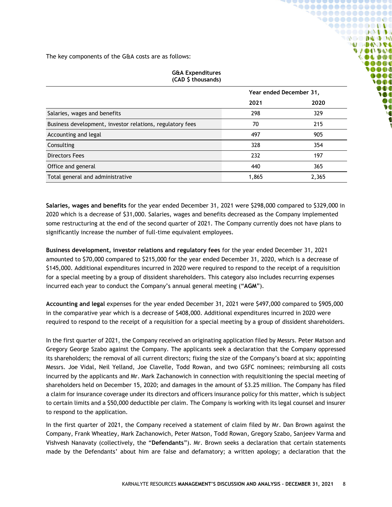The key components of the G&A costs are as follows:

| (CAD \$ thousands)                                        |                         |       |  |  |  |
|-----------------------------------------------------------|-------------------------|-------|--|--|--|
|                                                           | Year ended December 31, |       |  |  |  |
|                                                           | 2021                    | 2020  |  |  |  |
| Salaries, wages and benefits                              | 298                     | 329   |  |  |  |
| Business development, investor relations, regulatory fees | 70                      | 215   |  |  |  |
| Accounting and legal                                      | 497                     | 905   |  |  |  |
| Consulting                                                | 328                     | 354   |  |  |  |
| <b>Directors Fees</b>                                     | 232                     | 197   |  |  |  |
| Office and general                                        | 440                     | 365   |  |  |  |
| Total general and administrative                          | 1,865                   | 2,365 |  |  |  |

**G&A Expenditures**

**``\@@@@@@@@@@@@@**  $$ **`@@@@@@@@@@@ 90000000000** ,,,,,,,,,,  $\mathbb{Q} \otimes \mathbb{Q} \otimes \mathbb{Q} \otimes \mathbb{Q} \otimes \mathbb{Q}$ **ASCADO A VAOOVOO OLDOT**  $0 0 0 0 0$ 0000  $000$  $\bigcirc$  then DOO W

**Salaries, wages and benefits** for the year ended December 31, 2021 were \$298,000 compared to \$329,000 in 2020 which is a decrease of \$31,000. Salaries, wages and benefits decreased as the Company implemented some restructuring at the end of the second quarter of 2021. The Company currently does not have plans to

significantly increase the number of full-time equivalent employees.

**Business development, investor relations and regulatory fees** for the year ended December 31, 2021 amounted to \$70,000 compared to \$215,000 for the year ended December 31, 2020, which is a decrease of \$145,000. Additional expenditures incurred in 2020 were required to respond to the receipt of a requisition for a special meeting by a group of dissident shareholders. This category also includes recurring expenses incurred each year to conduct the Company's annual general meeting ("**AGM**").

**Accounting and legal** expenses for the year ended December 31, 2021 were \$497,000 compared to \$905,000 in the comparative year which is a decrease of \$408,000. Additional expenditures incurred in 2020 were required to respond to the receipt of a requisition for a special meeting by a group of dissident shareholders.

In the first quarter of 2021, the Company received an originating application filed by Messrs. Peter Matson and Gregory George Szabo against the Company. The applicants seek a declaration that the Company oppressed its shareholders; the removal of all current directors; fixing the size of the Company's board at six; appointing Messrs. Joe Vidal, Neil Yelland, Joe Clavelle, Todd Rowan, and two GSFC nominees; reimbursing all costs incurred by the applicants and Mr. Mark Zachanowich in connection with requisitioning the special meeting of shareholders held on December 15, 2020; and damages in the amount of \$3.25 million. The Company has filed a claim for insurance coverage under its directors and officers insurance policy for this matter, which is subject to certain limits and a \$50,000 deductible per claim. The Company is working with its legal counsel and insurer to respond to the application.

In the first quarter of 2021, the Company received a statement of claim filed by Mr. Dan Brown against the Company, Frank Wheatley, Mark Zachanowich, Peter Matson, Todd Rowan, Gregory Szabo, Sanjeev Varma and Vishvesh Nanavaty (collectively, the "**Defendants**"). Mr. Brown seeks a declaration that certain statements made by the Defendants' about him are false and defamatory; a written apology; a declaration that the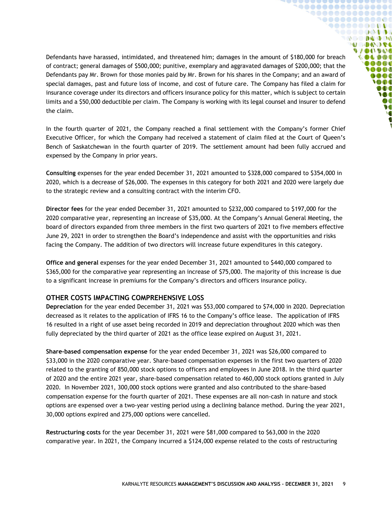Defendants have harassed, intimidated, and threatened him; damages in the amount of \$180,000 for breach of contract; general damages of \$500,000; punitive, exemplary and aggravated damages of \$200,000; that the Defendants pay Mr. Brown for those monies paid by Mr. Brown for his shares in the Company; and an award of special damages, past and future loss of income, and cost of future care. The Company has filed a claim for insurance coverage under its directors and officers insurance policy for this matter, which is subject to certain limits and a \$50,000 deductible per claim. The Company is working with its legal counsel and insurer to defend the claim.

**`@@@@@@@@@@@@@@**  ${\small \begin{array}{c} \bullet\bullet\bullet\bullet\bullet\bullet\bullet\bullet\bullet\bullet\bullet\bullet\bullet\bullet\bullet\bullet\end{array}}$ **`@@@@@@@@@@@ 90000000000** ◥◓◓◓◓◓◶◔≬◑◑ **COMPANY MODO DE VAOOVOO** NDOI 000C 0000  $\bullet$   $\bullet$   $\bullet$ **SOO** DOO W  $\boldsymbol{v}$  $\overline{\ }$ 

In the fourth quarter of 2021, the Company reached a final settlement with the Company's former Chief Executive Officer, for which the Company had received a statement of claim filed at the Court of Queen's Bench of Saskatchewan in the fourth quarter of 2019. The settlement amount had been fully accrued and expensed by the Company in prior years.

**Consulting** expenses for the year ended December 31, 2021 amounted to \$328,000 compared to \$354,000 in 2020, which is a decrease of \$26,000. The expenses in this category for both 2021 and 2020 were largely due to the strategic review and a consulting contract with the interim CFO.

**Director fees** for the year ended December 31, 2021 amounted to \$232,000 compared to \$197,000 for the 2020 comparative year, representing an increase of \$35,000. At the Company's Annual General Meeting, the board of directors expanded from three members in the first two quarters of 2021 to five members effective June 29, 2021 in order to strengthen the Board's independence and assist with the opportunities and risks facing the Company. The addition of two directors will increase future expenditures in this category.

**Office and general** expenses for the year ended December 31, 2021 amounted to \$440,000 compared to \$365,000 for the comparative year representing an increase of \$75,000. The majority of this increase is due to a significant increase in premiums for the Company's directors and officers insurance policy.

#### <span id="page-8-0"></span>**OTHER COSTS IMPACTING COMPREHENSIVE LOSS**

**Depreciation** for the year ended December 31, 2021 was \$53,000 compared to \$74,000 in 2020. Depreciation decreased as it relates to the application of IFRS 16 to the Company's office lease. The application of IFRS 16 resulted in a right of use asset being recorded in 2019 and depreciation throughout 2020 which was then fully depreciated by the third quarter of 2021 as the office lease expired on August 31, 2021.

**Share-based compensation expense** for the year ended December 31, 2021 was \$26,000 compared to \$33,000 in the 2020 comparative year. Share-based compensation expenses in the first two quarters of 2020 related to the granting of 850,000 stock options to officers and employees in June 2018. In the third quarter of 2020 and the entire 2021 year, share-based compensation related to 460,000 stock options granted in July 2020. In November 2021, 300,000 stock options were granted and also contributed to the share-based compensation expense for the fourth quarter of 2021. These expenses are all non-cash in nature and stock options are expensed over a two-year vesting period using a declining balance method. During the year 2021, 30,000 options expired and 275,000 options were cancelled.

**Restructuring costs** for the year December 31, 2021 were \$81,000 compared to \$63,000 in the 2020 comparative year. In 2021, the Company incurred a \$124,000 expense related to the costs of restructuring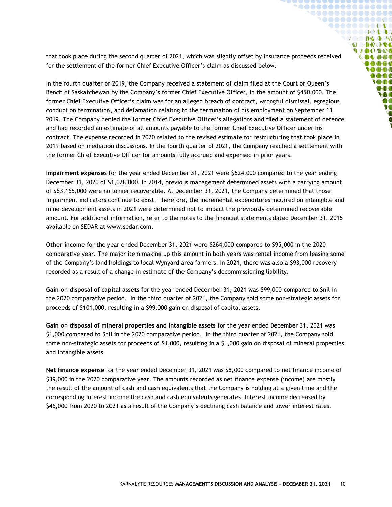that took place during the second quarter of 2021, which was slightly offset by insurance proceeds received for the settlement of the former Chief Executive Officer's claim as discussed below.

**`@@@@@@@@@@@@@@**  ${\small \begin{array}{c} \bullet\bullet\bullet\bullet\bullet\bullet\bullet\bullet\bullet\bullet\bullet\bullet\bullet\bullet\bullet\bullet\end{array}}$ **`@@@@@@@@@@@ 90000000000** ◥◓◓◓◓◓◶◔≬◑◑ **COMPANY MODO DE UACIDAD** OLDOC **Co Co Co al** 0000  $000$ **SOOT** DOO W ØO  $\bullet$ 

In the fourth quarter of 2019, the Company received a statement of claim filed at the Court of Queen's Bench of Saskatchewan by the Company's former Chief Executive Officer, in the amount of \$450,000. The former Chief Executive Officer's claim was for an alleged breach of contract, wrongful dismissal, egregious conduct on termination, and defamation relating to the termination of his employment on September 11, 2019. The Company denied the former Chief Executive Officer's allegations and filed a statement of defence and had recorded an estimate of all amounts payable to the former Chief Executive Officer under his contract. The expense recorded in 2020 related to the revised estimate for restructuring that took place in 2019 based on mediation discussions. In the fourth quarter of 2021, the Company reached a settlement with the former Chief Executive Officer for amounts fully accrued and expensed in prior years.

**Impairment expenses** for the year ended December 31, 2021 were \$524,000 compared to the year ending December 31, 2020 of \$1,028,000. In 2014, previous management determined assets with a carrying amount of \$63,165,000 were no longer recoverable. At December 31, 2021, the Company determined that those impairment indicators continue to exist. Therefore, the incremental expenditures incurred on intangible and mine development assets in 2021 were determined not to impact the previously determined recoverable amount. For additional information, refer to the notes to the financial statements dated December 31, 2015 available on SEDAR at www.sedar.com.

**Other income** for the year ended December 31, 2021 were \$264,000 compared to \$95,000 in the 2020 comparative year. The major item making up this amount in both years was rental income from leasing some of the Company's land holdings to local Wynyard area farmers. In 2021, there was also a \$93,000 recovery recorded as a result of a change in estimate of the Company's decommissioning liability.

**Gain on disposal of capital assets** for the year ended December 31, 2021 was \$99,000 compared to \$nil in the 2020 comparative period. In the third quarter of 2021, the Company sold some non-strategic assets for proceeds of \$101,000, resulting in a \$99,000 gain on disposal of capital assets.

**Gain on disposal of mineral properties and intangible assets** for the year ended December 31, 2021 was \$1,000 compared to \$nil in the 2020 comparative period. In the third quarter of 2021, the Company sold some non-strategic assets for proceeds of \$1,000, resulting in a \$1,000 gain on disposal of mineral properties and intangible assets.

**Net finance expense** for the year ended December 31, 2021 was \$8,000 compared to net finance income of \$39,000 in the 2020 comparative year. The amounts recorded as net finance expense (income) are mostly the result of the amount of cash and cash equivalents that the Company is holding at a given time and the corresponding interest income the cash and cash equivalents generates. Interest income decreased by \$46,000 from 2020 to 2021 as a result of the Company's declining cash balance and lower interest rates.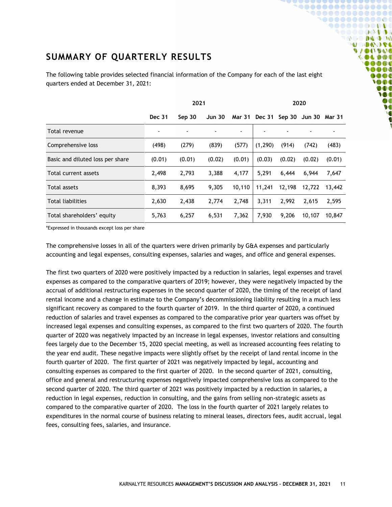# <span id="page-10-0"></span>**SUMMARY OF QUARTERLY RESULTS**

The following table provides selected financial information of the Company for each of the last eight quarters ended at December 31, 2021:

**~@@@@@@@@@@@@@@@**  ${\small \begin{array}{c} \bullet\bullet\bullet\bullet\bullet\bullet\bullet\bullet\bullet\bullet\bullet\bullet\bullet\bullet\bullet\bullet\end{array}}$ **`@@@@@@@@@@@ 90000000000** ◥◓◓◓◓◓◶◔≬◑◑ **COMPANY MODO DE VAOOVOO COLDOS**  $\bullet \bullet \bullet \bullet$ **OOO**  $000$ **SOOT** DOO **M**  $\boldsymbol{v}$ **V** 

|                                  | 2021          |        |        | 2020   |          |               |               |        |
|----------------------------------|---------------|--------|--------|--------|----------|---------------|---------------|--------|
|                                  | <b>Dec 31</b> | Sep 30 | Jun 30 | Mar 31 |          | Dec 31 Sep 30 | Jun 30 Mar 31 |        |
| Total revenue                    | ٠             |        |        |        |          |               |               |        |
| Comprehensive loss               | (498)         | (279)  | (839)  | (577)  | (1, 290) | (914)         | (742)         | (483)  |
| Basic and diluted loss per share | (0.01)        | (0.01) | (0.02) | (0.01) | (0.03)   | (0.02)        | (0.02)        | (0.01) |
| Total current assets             | 2,498         | 2,793  | 3,388  | 4,177  | 5,291    | 6,444         | 6,944         | 7,647  |
| Total assets                     | 8,393         | 8,695  | 9,305  | 10.110 | 11,241   | 12,198        | 12,722        | 13,442 |
| <b>Total liabilities</b>         | 2,630         | 2,438  | 2,774  | 2.748  | 3,311    | 2,992         | 2,615         | 2,595  |
| Total shareholders' equity       | 5,763         | 6,257  | 6,531  | 7,362  | 7,930    | 9,206         | 10,107        | 10,847 |

\*Expressed in thousands except loss per share

The comprehensive losses in all of the quarters were driven primarily by G&A expenses and particularly accounting and legal expenses, consulting expenses, salaries and wages, and office and general expenses.

The first two quarters of 2020 were positively impacted by a reduction in salaries, legal expenses and travel expenses as compared to the comparative quarters of 2019; however, they were negatively impacted by the accrual of additional restructuring expenses in the second quarter of 2020, the timing of the receipt of land rental income and a change in estimate to the Company's decommissioning liability resulting in a much less significant recovery as compared to the fourth quarter of 2019. In the third quarter of 2020, a continued reduction of salaries and travel expenses as compared to the comparative prior year quarters was offset by increased legal expenses and consulting expenses, as compared to the first two quarters of 2020. The fourth quarter of 2020 was negatively impacted by an increase in legal expenses, investor relations and consulting fees largely due to the December 15, 2020 special meeting, as well as increased accounting fees relating to the year end audit. These negative impacts were slightly offset by the receipt of land rental income in the fourth quarter of 2020. The first quarter of 2021 was negatively impacted by legal, accounting and consulting expenses as compared to the first quarter of 2020. In the second quarter of 2021, consulting, office and general and restructuring expenses negatively impacted comprehensive loss as compared to the second quarter of 2020. The third quarter of 2021 was positively impacted by a reduction in salaries, a reduction in legal expenses, reduction in consulting, and the gains from selling non-strategic assets as compared to the comparative quarter of 2020. The loss in the fourth quarter of 2021 largely relates to expenditures in the normal course of business relating to mineral leases, directors fees, audit accrual, legal fees, consulting fees, salaries, and insurance.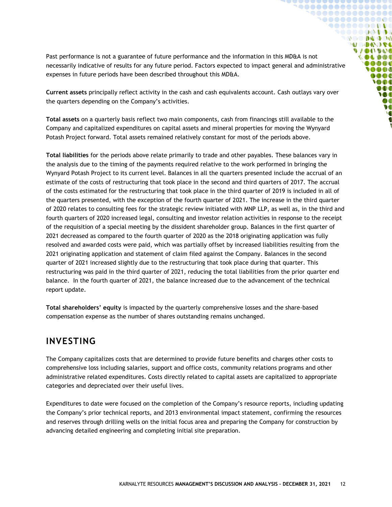Past performance is not a guarantee of future performance and the information in this MD&A is not necessarily indicative of results for any future period. Factors expected to impact general and administrative expenses in future periods have been described throughout this MD&A.

**``\@@@@@@@@@@@@@**  ${\small \begin{array}{c} \bullet\bullet\bullet\bullet\bullet\bullet\bullet\bullet\bullet\bullet\bullet\bullet\bullet\bullet\bullet\bullet\end{array}}$ **`@@@@@@@@@@@ 90000000000** ,,,,,,,,,,,  $\mathbb{Q} \otimes \mathbb{Q} \otimes \mathbb{Q} \otimes \mathbb{Q} \otimes \mathbb{Q}$ **MODO DE UACIDAD COLDOS**  $\bullet \bullet \bullet \bullet$ 0000  $\bullet$   $\bullet$   $\bullet$ **SOO** DOO W  $\boldsymbol{v}$  $\bullet$ 

**Current assets** principally reflect activity in the cash and cash equivalents account. Cash outlays vary over the quarters depending on the Company's activities.

**Total assets** on a quarterly basis reflect two main components, cash from financings still available to the Company and capitalized expenditures on capital assets and mineral properties for moving the Wynyard Potash Project forward. Total assets remained relatively constant for most of the periods above.

**Total liabilities** for the periods above relate primarily to trade and other payables. These balances vary in the analysis due to the timing of the payments required relative to the work performed in bringing the Wynyard Potash Project to its current level. Balances in all the quarters presented include the accrual of an estimate of the costs of restructuring that took place in the second and third quarters of 2017. The accrual of the costs estimated for the restructuring that took place in the third quarter of 2019 is included in all of the quarters presented, with the exception of the fourth quarter of 2021. The increase in the third quarter of 2020 relates to consulting fees for the strategic review initiated with MNP LLP, as well as, in the third and fourth quarters of 2020 increased legal, consulting and investor relation activities in response to the receipt of the requisition of a special meeting by the dissident shareholder group. Balances in the first quarter of 2021 decreased as compared to the fourth quarter of 2020 as the 2018 originating application was fully resolved and awarded costs were paid, which was partially offset by increased liabilities resulting from the 2021 originating application and statement of claim filed against the Company. Balances in the second quarter of 2021 increased slightly due to the restructuring that took place during that quarter. This restructuring was paid in the third quarter of 2021, reducing the total liabilities from the prior quarter end balance. In the fourth quarter of 2021, the balance increased due to the advancement of the technical report update.

**Total shareholders' equity** is impacted by the quarterly comprehensive losses and the share-based compensation expense as the number of shares outstanding remains unchanged.

### <span id="page-11-0"></span>**INVESTING**

The Company capitalizes costs that are determined to provide future benefits and charges other costs to comprehensive loss including salaries, support and office costs, community relations programs and other administrative related expenditures. Costs directly related to capital assets are capitalized to appropriate categories and depreciated over their useful lives.

Expenditures to date were focused on the completion of the Company's resource reports, including updating the Company's prior technical reports, and 2013 environmental impact statement, confirming the resources and reserves through drilling wells on the initial focus area and preparing the Company for construction by advancing detailed engineering and completing initial site preparation.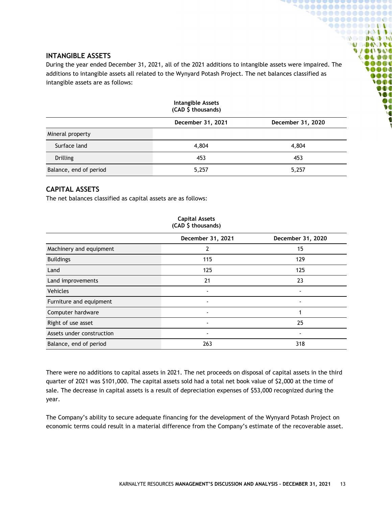#### <span id="page-12-0"></span>**INTANGIBLE ASSETS**

During the year ended December 31, 2021, all of the 2021 additions to intangible assets were impaired. The additions to intangible assets all related to the Wynyard Potash Project. The net balances classified as intangible assets are as follows:

**90000000000000** ,,,,,,,,

 $\blacksquare$ 

**DOC** 000**0** 0000  $\bullet$ 1000 000 W 

. . . . . . . . . . . **DO DA DO MODO DE UIDUROS** 

| <b>Intangible Assets</b><br>(CAD \$ thousands) |                   |                   |  |  |
|------------------------------------------------|-------------------|-------------------|--|--|
|                                                | December 31, 2021 | December 31, 2020 |  |  |
| Mineral property                               |                   |                   |  |  |
| Surface land                                   | 4,804             | 4,804             |  |  |
| Drilling                                       | 453               | 453               |  |  |
| Balance, end of period                         | 5,257             | 5,257             |  |  |

# <span id="page-12-1"></span>**CAPITAL ASSETS**

The net balances classified as capital assets are as follows:

|                           | December 31, 2021        | December 31, 2020 |
|---------------------------|--------------------------|-------------------|
| Machinery and equipment   | 7                        | 15                |
| <b>Buildings</b>          | 115                      | 129               |
| Land                      | 125                      | 125               |
| Land improvements         | 21                       | 23                |
| <b>Vehicles</b>           |                          |                   |
| Furniture and equipment   |                          |                   |
| Computer hardware         | $\overline{\phantom{a}}$ |                   |
| Right of use asset        | $\overline{\phantom{a}}$ | 25                |
| Assets under construction |                          |                   |
| Balance, end of period    | 263                      | 318               |

**Capital Assets (CAD \$ thousands)**

There were no additions to capital assets in 2021. The net proceeds on disposal of capital assets in the third quarter of 2021 was \$101,000. The capital assets sold had a total net book value of \$2,000 at the time of sale. The decrease in capital assets is a result of depreciation expenses of \$53,000 recognized during the year.

The Company's ability to secure adequate financing for the development of the Wynyard Potash Project on economic terms could result in a material difference from the Company's estimate of the recoverable asset.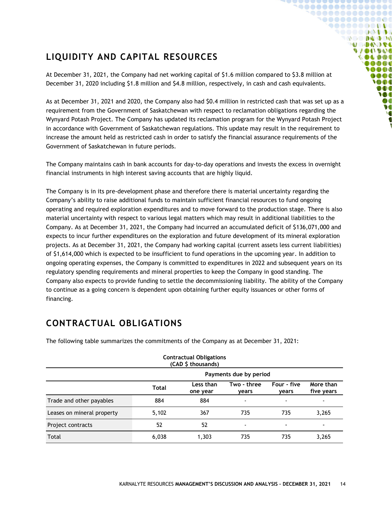# <span id="page-13-0"></span>**LIQUIDITY AND CAPITAL RESOURCES**

At December 31, 2021, the Company had net working capital of \$1.6 million compared to \$3.8 million at December 31, 2020 including \$1.8 million and \$4.8 million, respectively, in cash and cash equivalents.

1000000000001 **9000000000** , . . . . . . . . .  $\mathbb{Q} \otimes \mathbb{Q} \otimes \mathbb{Q} \otimes \mathbb{Q} \otimes \mathbb{Q}$ **U DAOSE UACIDAD OLDO** 000**0** 

> ooc  $\bigcirc$  then DOO **M** ØO  $\bullet$

As at December 31, 2021 and 2020, the Company also had \$0.4 million in restricted cash that was set up as a requirement from the Government of Saskatchewan with respect to reclamation obligations regarding the Wynyard Potash Project. The Company has updated its reclamation program for the Wynyard Potash Project in accordance with Government of Saskatchewan regulations. This update may result in the requirement to increase the amount held as restricted cash in order to satisfy the financial assurance requirements of the Government of Saskatchewan in future periods.

The Company maintains cash in bank accounts for day-to-day operations and invests the excess in overnight financial instruments in high interest saving accounts that are highly liquid.

The Company is in its pre-development phase and therefore there is material uncertainty regarding the Company's ability to raise additional funds to maintain sufficient financial resources to fund ongoing operating and required exploration expenditures and to move forward to the production stage. There is also material uncertainty with respect to various legal matters which may result in additional liabilities to the Company. As at December 31, 2021, the Company had incurred an accumulated deficit of \$136,071,000 and expects to incur further expenditures on the exploration and future development of its mineral exploration projects. As at December 31, 2021, the Company had working capital (current assets less current liabilities) of \$1,614,000 which is expected to be insufficient to fund operations in the upcoming year. In addition to ongoing operating expenses, the Company is committed to expenditures in 2022 and subsequent years on its regulatory spending requirements and mineral properties to keep the Company in good standing. The Company also expects to provide funding to settle the decommissioning liability. The ability of the Company to continue as a going concern is dependent upon obtaining further equity issuances or other forms of financing.

# <span id="page-13-1"></span>**CONTRACTUAL OBLIGATIONS**

|                            |                        | <b>Contractual Obligations</b><br>(CAD \$ thousands) |                      |                          |                         |
|----------------------------|------------------------|------------------------------------------------------|----------------------|--------------------------|-------------------------|
|                            | Payments due by period |                                                      |                      |                          |                         |
|                            | Total                  | Less than<br>one year                                | Two - three<br>vears | Four - five<br>vears     | More than<br>five years |
| Trade and other payables   | 884                    | 884                                                  |                      | $\overline{\phantom{0}}$ |                         |
| Leases on mineral property | 5,102                  | 367                                                  | 735                  | 735                      | 3,265                   |
| Project contracts          | 52                     | 52                                                   |                      | ۰                        |                         |
| Total                      | 6,038                  | 1,303                                                | 735                  | 735                      | 3,265                   |

The following table summarizes the commitments of the Company as at December 31, 2021: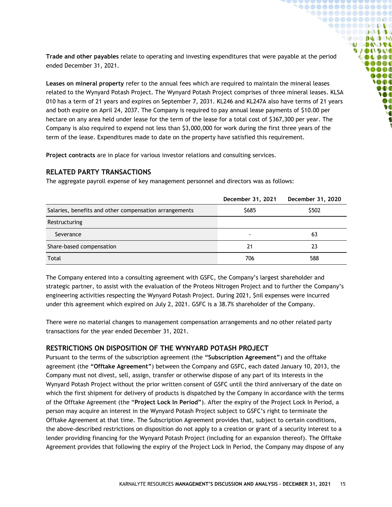**Trade and other payables** relate to operating and investing expenditures that were payable at the period ended December 31, 2021.

 $$ `@**@@@@@@@@@**@ **90000000000** ,,,,,,,,,, **DO DA DO U DAOSE DIANT IDAY** OLDOC **OB** OB OB 0000  $000$ **SOOT** DOO W ØO  $\bullet$ 

**Leases on mineral property** refer to the annual fees which are required to maintain the mineral leases related to the Wynyard Potash Project. The Wynyard Potash Project comprises of three mineral leases. KLSA 010 has a term of 21 years and expires on September 7, 2031. KL246 and KL247A also have terms of 21 years and both expire on April 24, 2037. The Company is required to pay annual lease payments of \$10.00 per hectare on any area held under lease for the term of the lease for a total cost of \$367,300 per year. The Company is also required to expend not less than \$3,000,000 for work during the first three years of the term of the lease. Expenditures made to date on the property have satisfied this requirement.

**Project contracts** are in place for various investor relations and consulting services.

#### <span id="page-14-0"></span>**RELATED PARTY TRANSACTIONS**

The aggregate payroll expense of key management personnel and directors was as follows:

|                                                        | December 31, 2021 | December 31, 2020 |
|--------------------------------------------------------|-------------------|-------------------|
| Salaries, benefits and other compensation arrangements | \$685             | \$502             |
| Restructuring                                          |                   |                   |
| Severance                                              | $\blacksquare$    | 63                |
| Share-based compensation                               | 21                | 23                |
| Total                                                  | 706               | 588               |

The Company entered into a consulting agreement with GSFC, the Company's largest shareholder and strategic partner, to assist with the evaluation of the Proteos Nitrogen Project and to further the Company's engineering activities respecting the Wynyard Potash Project. During 2021, \$nil expenses were incurred under this agreement which expired on July 2, 2021. GSFC is a 38.7% shareholder of the Company.

There were no material changes to management compensation arrangements and no other related party transactions for the year ended December 31, 2021.

#### <span id="page-14-1"></span>**RESTRICTIONS ON DISPOSITION OF THE WYNYARD POTASH PROJECT**

Pursuant to the terms of the subscription agreement (the **"Subscription Agreement"**) and the offtake agreement (the **"Offtake Agreement"**) between the Company and GSFC, each dated January 10, 2013, the Company must not divest, sell, assign, transfer or otherwise dispose of any part of its interests in the Wynyard Potash Project without the prior written consent of GSFC until the third anniversary of the date on which the first shipment for delivery of products is dispatched by the Company in accordance with the terms of the Offtake Agreement (the "**Project Lock In Period"**). After the expiry of the Project Lock In Period, a person may acquire an interest in the Wynyard Potash Project subject to GSFC's right to terminate the Offtake Agreement at that time. The Subscription Agreement provides that, subject to certain conditions, the above-described restrictions on disposition do not apply to a creation or grant of a security interest to a lender providing financing for the Wynyard Potash Project (including for an expansion thereof). The Offtake Agreement provides that following the expiry of the Project Lock In Period, the Company may dispose of any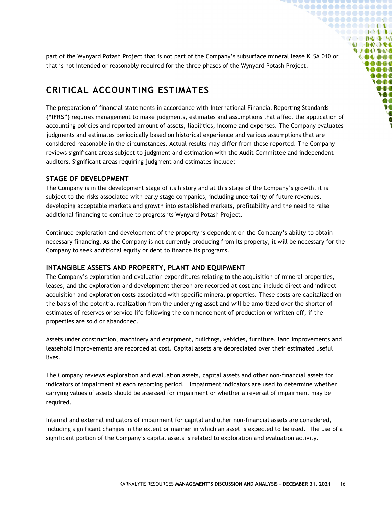part of the Wynyard Potash Project that is not part of the Company's subsurface mineral lease KLSA 010 or that is not intended or reasonably required for the three phases of the Wynyard Potash Project.

**`@@@@@@@@@@@@@@**  ${\small \begin{array}{c} \bullet\bullet\bullet\bullet\bullet\bullet\bullet\bullet\bullet\bullet\bullet\bullet\bullet\bullet\bullet\bullet\end{array}}$ **`@@@@@@@@@@@ 900000000000** SOOOOQODOG **OCODEDO MODO DE UACIDAD COLDOS**  $0000$ **OOO**  $\bullet \bullet \bullet$ **SOO** DOO **M**  $\boldsymbol{v}$ **V** 

# <span id="page-15-0"></span>**CRITICAL ACCOUNTING ESTIMATES**

The preparation of financial statements in accordance with International Financial Reporting Standards **("IFRS")** requires management to make judgments, estimates and assumptions that affect the application of accounting policies and reported amount of assets, liabilities, income and expenses. The Company evaluates judgments and estimates periodically based on historical experience and various assumptions that are considered reasonable in the circumstances. Actual results may differ from those reported. The Company reviews significant areas subject to judgment and estimation with the Audit Committee and independent auditors. Significant areas requiring judgment and estimates include:

#### <span id="page-15-1"></span>**STAGE OF DEVELOPMENT**

The Company is in the development stage of its history and at this stage of the Company's growth, it is subject to the risks associated with early stage companies, including uncertainty of future revenues, developing acceptable markets and growth into established markets, profitability and the need to raise additional financing to continue to progress its Wynyard Potash Project.

Continued exploration and development of the property is dependent on the Company's ability to obtain necessary financing. As the Company is not currently producing from its property, it will be necessary for the Company to seek additional equity or debt to finance its programs.

#### <span id="page-15-2"></span>**INTANGIBLE ASSETS AND PROPERTY, PLANT AND EQUIPMENT**

The Company's exploration and evaluation expenditures relating to the acquisition of mineral properties, leases, and the exploration and development thereon are recorded at cost and include direct and indirect acquisition and exploration costs associated with specific mineral properties. These costs are capitalized on the basis of the potential realization from the underlying asset and will be amortized over the shorter of estimates of reserves or service life following the commencement of production or written off, if the properties are sold or abandoned.

Assets under construction, machinery and equipment, buildings, vehicles, furniture, land improvements and leasehold improvements are recorded at cost. Capital assets are depreciated over their estimated useful lives.

The Company reviews exploration and evaluation assets, capital assets and other non-financial assets for indicators of impairment at each reporting period. Impairment indicators are used to determine whether carrying values of assets should be assessed for impairment or whether a reversal of impairment may be required.

Internal and external indicators of impairment for capital and other non-financial assets are considered, including significant changes in the extent or manner in which an asset is expected to be used. The use of a significant portion of the Company's capital assets is related to exploration and evaluation activity.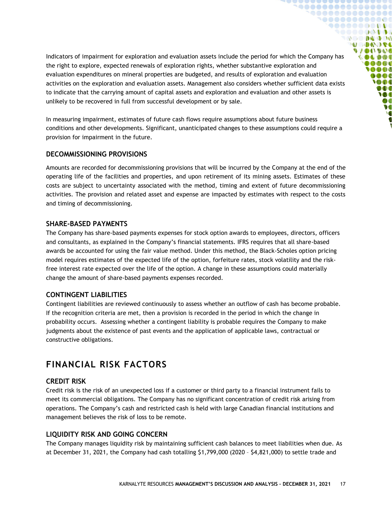Indicators of impairment for exploration and evaluation assets include the period for which the Company has the right to explore, expected renewals of exploration rights, whether substantive exploration and evaluation expenditures on mineral properties are budgeted, and results of exploration and evaluation activities on the exploration and evaluation assets. Management also considers whether sufficient data exists to indicate that the carrying amount of capital assets and exploration and evaluation and other assets is unlikely to be recovered in full from successful development or by sale.

 $00000000000000000$ **`@@@@@@@@@@@** 1000000000  $\begin{array}{ccc} \mathbf{0} & \mathbf{0} & \mathbf{0} & \mathbf{0} & \mathbf{0} & \mathbf{0} \end{array}$ **MODA OFE DIANT IDAY IL DIDE OB** OB OB 0000 **DOC SOOT** DOO W DO  $\bullet$ 

In measuring impairment, estimates of future cash flows require assumptions about future business conditions and other developments. Significant, unanticipated changes to these assumptions could require a provision for impairment in the future.

#### <span id="page-16-0"></span>**DECOMMISSIONING PROVISIONS**

Amounts are recorded for decommissioning provisions that will be incurred by the Company at the end of the operating life of the facilities and properties, and upon retirement of its mining assets. Estimates of these costs are subject to uncertainty associated with the method, timing and extent of future decommissioning activities. The provision and related asset and expense are impacted by estimates with respect to the costs and timing of decommissioning.

#### <span id="page-16-1"></span>**SHARE-BASED PAYMENTS**

The Company has share-based payments expenses for stock option awards to employees, directors, officers and consultants, as explained in the Company's financial statements. IFRS requires that all share-based awards be accounted for using the fair value method. Under this method, the Black-Scholes option pricing model requires estimates of the expected life of the option, forfeiture rates, stock volatility and the riskfree interest rate expected over the life of the option. A change in these assumptions could materially change the amount of share-based payments expenses recorded.

#### <span id="page-16-2"></span>**CONTINGENT LIABILITIES**

Contingent liabilities are reviewed continuously to assess whether an outflow of cash has become probable. If the recognition criteria are met, then a provision is recorded in the period in which the change in probability occurs. Assessing whether a contingent liability is probable requires the Company to make judgments about the existence of past events and the application of applicable laws, contractual or constructive obligations.

### <span id="page-16-3"></span>**FINANCIAL RISK FACTORS**

#### <span id="page-16-4"></span>**CREDIT RISK**

Credit risk is the risk of an unexpected loss if a customer or third party to a financial instrument fails to meet its commercial obligations. The Company has no significant concentration of credit risk arising from operations. The Company's cash and restricted cash is held with large Canadian financial institutions and management believes the risk of loss to be remote.

#### <span id="page-16-5"></span>**LIQUIDITY RISK AND GOING CONCERN**

The Company manages liquidity risk by maintaining sufficient cash balances to meet liabilities when due. As at December 31, 2021, the Company had cash totalling \$1,799,000 (2020 – \$4,821,000) to settle trade and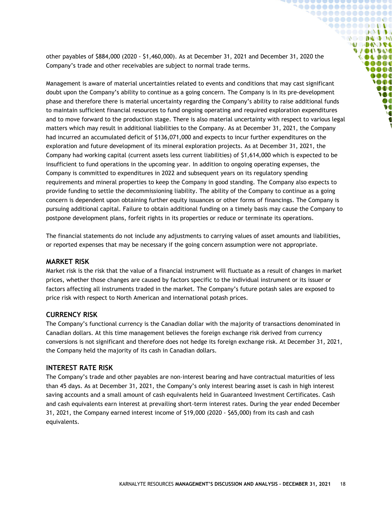other payables of \$884,000 (2020 - \$1,460,000). As at December 31, 2021 and December 31, 2020 the Company's trade and other receivables are subject to normal trade terms.

**`@@@@@@@@@@@@@@@**  ${\small \begin{array}{c} \bullet\bullet\bullet\bullet\bullet\bullet\bullet\bullet\bullet\bullet\bullet\bullet\bullet\bullet\bullet\bullet\end{array}}$ **`@@@@@@@@@@@ 900000000000** SOOOOQODOG **OC DE DO DO MODOOSE VAOOVOO COLDOL**  $0000$ 0000  $000$ **SOO** DOO **M**  $\boldsymbol{v}$ **V** 

Management is aware of material uncertainties related to events and conditions that may cast significant doubt upon the Company's ability to continue as a going concern. The Company is in its pre-development phase and therefore there is material uncertainty regarding the Company's ability to raise additional funds to maintain sufficient financial resources to fund ongoing operating and required exploration expenditures and to move forward to the production stage. There is also material uncertainty with respect to various legal matters which may result in additional liabilities to the Company. As at December 31, 2021, the Company had incurred an accumulated deficit of \$136,071,000 and expects to incur further expenditures on the exploration and future development of its mineral exploration projects. As at December 31, 2021, the Company had working capital (current assets less current liabilities) of \$1,614,000 which is expected to be insufficient to fund operations in the upcoming year. In addition to ongoing operating expenses, the Company is committed to expenditures in 2022 and subsequent years on its regulatory spending requirements and mineral properties to keep the Company in good standing. The Company also expects to provide funding to settle the decommissioning liability. The ability of the Company to continue as a going concern is dependent upon obtaining further equity issuances or other forms of financings. The Company is pursuing additional capital. Failure to obtain additional funding on a timely basis may cause the Company to postpone development plans, forfeit rights in its properties or reduce or terminate its operations.

The financial statements do not include any adjustments to carrying values of asset amounts and liabilities, or reported expenses that may be necessary if the going concern assumption were not appropriate.

#### <span id="page-17-0"></span>**MARKET RISK**

Market risk is the risk that the value of a financial instrument will fluctuate as a result of changes in market prices, whether those changes are caused by factors specific to the individual instrument or its issuer or factors affecting all instruments traded in the market. The Company's future potash sales are exposed to price risk with respect to North American and international potash prices.

#### <span id="page-17-1"></span>**CURRENCY RISK**

The Company's functional currency is the Canadian dollar with the majority of transactions denominated in Canadian dollars. At this time management believes the foreign exchange risk derived from currency conversions is not significant and therefore does not hedge its foreign exchange risk. At December 31, 2021, the Company held the majority of its cash in Canadian dollars.

#### <span id="page-17-2"></span>**INTEREST RATE RISK**

The Company's trade and other payables are non-interest bearing and have contractual maturities of less than 45 days. As at December 31, 2021, the Company's only interest bearing asset is cash in high interest saving accounts and a small amount of cash equivalents held in Guaranteed Investment Certificates. Cash and cash equivalents earn interest at prevailing short-term interest rates. During the year ended December 31, 2021, the Company earned interest income of \$19,000 (2020 - \$65,000) from its cash and cash equivalents.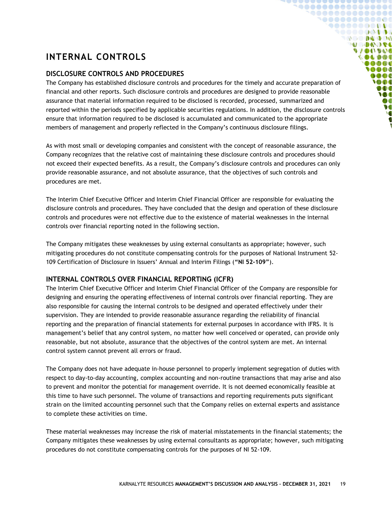# <span id="page-18-0"></span>**INTERNAL CONTROLS**

#### <span id="page-18-1"></span>**DISCLOSURE CONTROLS AND PROCEDURES**

The Company has established disclosure controls and procedures for the timely and accurate preparation of financial and other reports. Such disclosure controls and procedures are designed to provide reasonable assurance that material information required to be disclosed is recorded, processed, summarized and reported within the periods specified by applicable securities regulations. In addition, the disclosure controls ensure that information required to be disclosed is accumulated and communicated to the appropriate members of management and properly reflected in the Company's continuous disclosure filings.

**`@@@@@@@@@@@@@@**  ${\small \begin{array}{c} \bullet\bullet\bullet\bullet\bullet\bullet\bullet\bullet\bullet\bullet\bullet\bullet\bullet\bullet\bullet\bullet\end{array}}$ 1000000000000  $\bullet \bullet \bullet \bullet \bullet \bullet \bullet \bullet \bullet \bullet \bullet \bullet \bullet$ SOOOOQODOG **OCO DA DO MODOJE VAOOVOO** 000000 000**0 OOO**  $0000$ **SOO** DOO **M** Ø **V** 

As with most small or developing companies and consistent with the concept of reasonable assurance, the Company recognizes that the relative cost of maintaining these disclosure controls and procedures should not exceed their expected benefits. As a result, the Company's disclosure controls and procedures can only provide reasonable assurance, and not absolute assurance, that the objectives of such controls and procedures are met.

The Interim Chief Executive Officer and Interim Chief Financial Officer are responsible for evaluating the disclosure controls and procedures. They have concluded that the design and operation of these disclosure controls and procedures were not effective due to the existence of material weaknesses in the internal controls over financial reporting noted in the following section.

The Company mitigates these weaknesses by using external consultants as appropriate; however, such mitigating procedures do not constitute compensating controls for the purposes of National Instrument 52- 109 Certification of Disclosure in Issuers' Annual and Interim Filings (**"NI 52-109"**).

#### <span id="page-18-2"></span>**INTERNAL CONTROLS OVER FINANCIAL REPORTING (ICFR)**

The Interim Chief Executive Officer and Interim Chief Financial Officer of the Company are responsible for designing and ensuring the operating effectiveness of internal controls over financial reporting. They are also responsible for causing the internal controls to be designed and operated effectively under their supervision. They are intended to provide reasonable assurance regarding the reliability of financial reporting and the preparation of financial statements for external purposes in accordance with IFRS. It is management's belief that any control system, no matter how well conceived or operated, can provide only reasonable, but not absolute, assurance that the objectives of the control system are met. An internal control system cannot prevent all errors or fraud.

The Company does not have adequate in-house personnel to properly implement segregation of duties with respect to day-to-day accounting, complex accounting and non-routine transactions that may arise and also to prevent and monitor the potential for management override. It is not deemed economically feasible at this time to have such personnel. The volume of transactions and reporting requirements puts significant strain on the limited accounting personnel such that the Company relies on external experts and assistance to complete these activities on time.

These material weaknesses may increase the risk of material misstatements in the financial statements; the Company mitigates these weaknesses by using external consultants as appropriate; however, such mitigating procedures do not constitute compensating controls for the purposes of NI 52-109.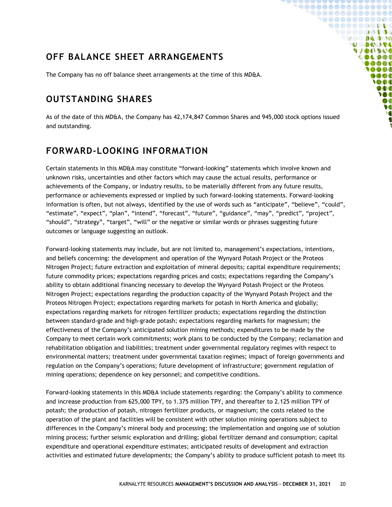# <span id="page-19-0"></span>**OFF BALANCE SHEET ARRANGEMENTS**

The Company has no off balance sheet arrangements at the time of this MD&A.

### <span id="page-19-1"></span>**OUTSTANDING SHARES**

As of the date of this MD&A, the Company has 42,174,847 Common Shares and 945,000 stock options issued and outstanding.

**`@@@@@@@@@@@@@@**  ${\small \begin{array}{c} \bullet\bullet\bullet\bullet\bullet\bullet\bullet\bullet\bullet\bullet\bullet\bullet\bullet\bullet\bullet\bullet\end{array}}$ 1000000000000 **90000000000** SOOOOQODOG **OCO DA DO NOONOSE VACOUVAC** 000000 0000 **IAAA**  $0000$ **SOO** DOO W ØO  $\bullet$ 

### <span id="page-19-2"></span>**FORWARD-LOOKING INFORMATION**

Certain statements in this MD&A may constitute "forward-looking" statements which involve known and unknown risks, uncertainties and other factors which may cause the actual results, performance or achievements of the Company, or industry results, to be materially different from any future results, performance or achievements expressed or implied by such forward-looking statements. Forward-looking information is often, but not always, identified by the use of words such as "anticipate", "believe", "could", "estimate", "expect", "plan", "intend", "forecast", "future", "guidance", "may", "predict", "project", "should", "strategy", "target", "will" or the negative or similar words or phrases suggesting future outcomes or language suggesting an outlook.

Forward-looking statements may include, but are not limited to, management's expectations, intentions, and beliefs concerning: the development and operation of the Wynyard Potash Project or the Proteos Nitrogen Project; future extraction and exploitation of mineral deposits; capital expenditure requirements; future commodity prices; expectations regarding prices and costs; expectations regarding the Company's ability to obtain additional financing necessary to develop the Wynyard Potash Project or the Proteos Nitrogen Project; expectations regarding the production capacity of the Wynyard Potash Project and the Proteos Nitrogen Project; expectations regarding markets for potash in North America and globally; expectations regarding markets for nitrogen fertilizer products; expectations regarding the distinction between standard-grade and high-grade potash; expectations regarding markets for magnesium; the effectiveness of the Company's anticipated solution mining methods; expenditures to be made by the Company to meet certain work commitments; work plans to be conducted by the Company; reclamation and rehabilitation obligation and liabilities; treatment under governmental regulatory regimes with respect to environmental matters; treatment under governmental taxation regimes; impact of foreign governments and regulation on the Company's operations; future development of infrastructure; government regulation of mining operations; dependence on key personnel; and competitive conditions.

Forward-looking statements in this MD&A include statements regarding: the Company's ability to commence and increase production from 625,000 TPY, to 1.375 million TPY, and thereafter to 2.125 million TPY of potash; the production of potash, nitrogen fertilizer products, or magnesium; the costs related to the operation of the plant and facilities will be consistent with other solution mining operations subject to differences in the Company's mineral body and processing; the implementation and ongoing use of solution mining process; further seismic exploration and drilling; global fertilizer demand and consumption; capital expenditure and operational expenditure estimates; anticipated results of development and extraction activities and estimated future developments; the Company's ability to produce sufficient potash to meet its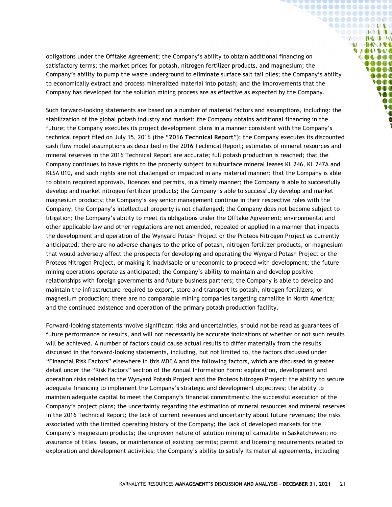obligations under the Offtake Agreement; the Company's ability to obtain additional financing on satisfactory terms; the market prices for potash, nitrogen fertilizer products, and magnesium; the Company's ability to pump the waste underground to eliminate surface salt tail piles; the Company's ability to economically extract and process mineralized material into potash; and the improvements that the Company has developed for the solution mining process are as effective as expected by the Company.

**`@@@@@@@@@@@@@@@**  ${\small \begin{array}{c} \bullet\bullet\bullet\bullet\bullet\bullet\bullet\bullet\bullet\bullet\bullet\bullet\bullet\bullet\bullet\bullet\end{array}}$ 1000000000000  $\bullet \bullet \bullet \bullet \bullet \bullet \bullet \bullet \bullet \bullet \bullet \bullet \bullet$ SOOOOQODOG **DO DA DO DO NOONDS VACOUVAC** 000000  $00000$ **SOOO MOOC YOOO** 000 **IO** DO  $\bullet$ 

Such forward-looking statements are based on a number of material factors and assumptions, including: the stabilization of the global potash industry and market; the Company obtains additional financing in the future; the Company executes its project development plans in a manner consistent with the Company's technical report filed on July 15, 2016 (the "**2016 Technical Report**"); the Company executes its discounted cash flow model assumptions as described in the 2016 Technical Report; estimates of mineral resources and mineral reserves in the 2016 Technical Report are accurate; full potash production is reached; that the Company continues to have rights to the property subject to subsurface mineral leases KL 246, KL 247A and KLSA 010, and such rights are not challenged or impacted in any material manner; that the Company is able to obtain required approvals, licences and permits, in a timely manner; the Company is able to successfully develop and market nitrogen fertilizer products; the Company is able to successfully develop and market magnesium products; the Company's key senior management continue in their respective roles with the Company; the Company's intellectual property is not challenged; the Company does not become subject to litigation; the Company's ability to meet its obligations under the Offtake Agreement; environmental and other applicable law and other regulations are not amended, repealed or applied in a manner that impacts the development and operation of the Wynyard Potash Project or the Proteos Nitrogen Project as currently anticipated; there are no adverse changes to the price of potash, nitrogen fertilizer products, or magnesium that would adversely affect the prospects for developing and operating the Wynyard Potash Project or the Proteos Nitrogen Project, or making it inadvisable or uneconomic to proceed with development; the future mining operations operate as anticipated; the Company's ability to maintain and develop positive relationships with foreign governments and future business partners; the Company is able to develop and maintain the infrastructure required to export, store and transport its potash, nitrogen fertilizers, or magnesium production; there are no comparable mining companies targeting carnallite in North America; and the continued existence and operation of the primary potash production facility.

Forward-looking statements involve significant risks and uncertainties, should not be read as guarantees of future performance or results, and will not necessarily be accurate indications of whether or not such results will be achieved. A number of factors could cause actual results to differ materially from the results discussed in the forward-looking statements, including, but not limited to, the factors discussed under "Financial Risk Factors" elsewhere in this MD&A and the following factors, which are discussed in greater detail under the "Risk Factors" section of the Annual Information Form: exploration, development and operation risks related to the Wynyard Potash Project and the Proteos Nitrogen Project; the ability to secure adequate financing to implement the Company's strategic and development objectives; the ability to maintain adequate capital to meet the Company's financial commitments; the successful execution of the Company's project plans; the uncertainty regarding the estimation of mineral resources and mineral reserves in the 2016 Technical Report; the lack of current revenues and uncertainty about future revenues; the risks associated with the limited operating history of the Company; the lack of developed markets for the Company's magnesium products; the unproven nature of solution mining of carnallite in Saskatchewan; no assurance of titles, leases, or maintenance of existing permits; permit and licensing requirements related to exploration and development activities; the Company's ability to satisfy its material agreements, including